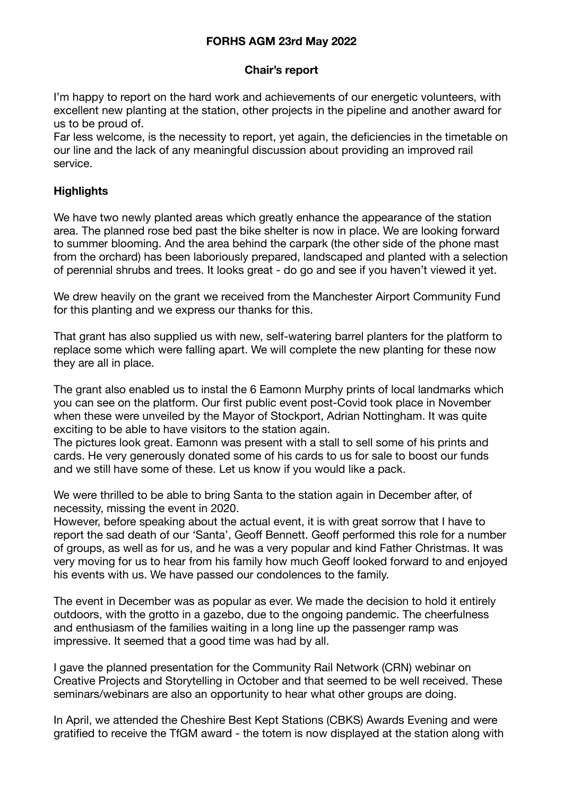# **FORHS AGM 23rd May 2022**

## **Chair's report**

I'm happy to report on the hard work and achievements of our energetic volunteers, with excellent new planting at the station, other projects in the pipeline and another award for us to be proud of.

Far less welcome, is the necessity to report, yet again, the deficiencies in the timetable on our line and the lack of any meaningful discussion about providing an improved rail service.

## **Highlights**

We have two newly planted areas which greatly enhance the appearance of the station area. The planned rose bed past the bike shelter is now in place. We are looking forward to summer blooming. And the area behind the carpark (the other side of the phone mast from the orchard) has been laboriously prepared, landscaped and planted with a selection of perennial shrubs and trees. It looks great - do go and see if you haven't viewed it yet.

We drew heavily on the grant we received from the Manchester Airport Community Fund for this planting and we express our thanks for this.

That grant has also supplied us with new, self-watering barrel planters for the platform to replace some which were falling apart. We will complete the new planting for these now they are all in place.

The grant also enabled us to instal the 6 Eamonn Murphy prints of local landmarks which you can see on the platform. Our first public event post-Covid took place in November when these were unveiled by the Mayor of Stockport, Adrian Nottingham. It was quite exciting to be able to have visitors to the station again.

The pictures look great. Eamonn was present with a stall to sell some of his prints and cards. He very generously donated some of his cards to us for sale to boost our funds and we still have some of these. Let us know if you would like a pack.

We were thrilled to be able to bring Santa to the station again in December after, of necessity, missing the event in 2020.

However, before speaking about the actual event, it is with great sorrow that I have to report the sad death of our 'Santa', Geoff Bennett. Geoff performed this role for a number of groups, as well as for us, and he was a very popular and kind Father Christmas. It was very moving for us to hear from his family how much Geoff looked forward to and enjoyed his events with us. We have passed our condolences to the family.

The event in December was as popular as ever. We made the decision to hold it entirely outdoors, with the grotto in a gazebo, due to the ongoing pandemic. The cheerfulness and enthusiasm of the families waiting in a long line up the passenger ramp was impressive. It seemed that a good time was had by all.

I gave the planned presentation for the Community Rail Network (CRN) webinar on Creative Projects and Storytelling in October and that seemed to be well received. These seminars/webinars are also an opportunity to hear what other groups are doing.

In April, we attended the Cheshire Best Kept Stations (CBKS) Awards Evening and were gratified to receive the TfGM award - the totem is now displayed at the station along with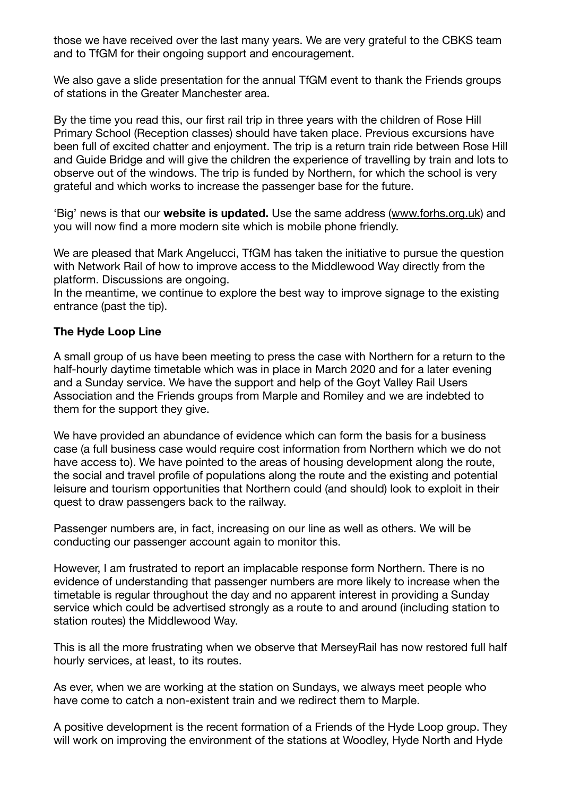those we have received over the last many years. We are very grateful to the CBKS team and to TfGM for their ongoing support and encouragement.

We also gave a slide presentation for the annual TfGM event to thank the Friends groups of stations in the Greater Manchester area.

By the time you read this, our first rail trip in three years with the children of Rose Hill Primary School (Reception classes) should have taken place. Previous excursions have been full of excited chatter and enjoyment. The trip is a return train ride between Rose Hill and Guide Bridge and will give the children the experience of travelling by train and lots to observe out of the windows. The trip is funded by Northern, for which the school is very grateful and which works to increase the passenger base for the future.

'Big' news is that our **website is updated.** Use the same address [\(www.forhs.org.uk](http://www.forhs.org.uk)) and you will now find a more modern site which is mobile phone friendly.

We are pleased that Mark Angelucci, TfGM has taken the initiative to pursue the question with Network Rail of how to improve access to the Middlewood Way directly from the platform. Discussions are ongoing.

In the meantime, we continue to explore the best way to improve signage to the existing entrance (past the tip).

# **The Hyde Loop Line**

A small group of us have been meeting to press the case with Northern for a return to the half-hourly daytime timetable which was in place in March 2020 and for a later evening and a Sunday service. We have the support and help of the Goyt Valley Rail Users Association and the Friends groups from Marple and Romiley and we are indebted to them for the support they give.

We have provided an abundance of evidence which can form the basis for a business case (a full business case would require cost information from Northern which we do not have access to). We have pointed to the areas of housing development along the route, the social and travel profile of populations along the route and the existing and potential leisure and tourism opportunities that Northern could (and should) look to exploit in their quest to draw passengers back to the railway.

Passenger numbers are, in fact, increasing on our line as well as others. We will be conducting our passenger account again to monitor this.

However, I am frustrated to report an implacable response form Northern. There is no evidence of understanding that passenger numbers are more likely to increase when the timetable is regular throughout the day and no apparent interest in providing a Sunday service which could be advertised strongly as a route to and around (including station to station routes) the Middlewood Way.

This is all the more frustrating when we observe that MerseyRail has now restored full half hourly services, at least, to its routes.

As ever, when we are working at the station on Sundays, we always meet people who have come to catch a non-existent train and we redirect them to Marple.

A positive development is the recent formation of a Friends of the Hyde Loop group. They will work on improving the environment of the stations at Woodley, Hyde North and Hyde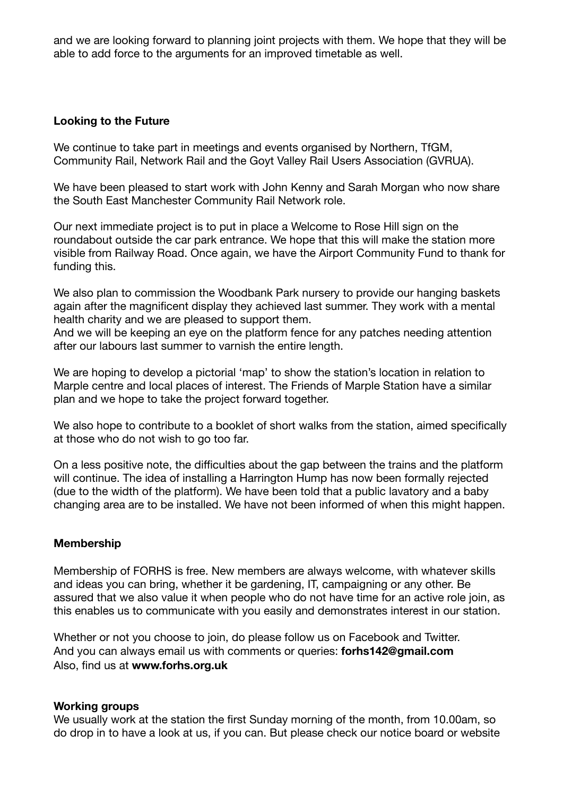and we are looking forward to planning joint projects with them. We hope that they will be able to add force to the arguments for an improved timetable as well.

### **Looking to the Future**

We continue to take part in meetings and events organised by Northern, TfGM, Community Rail, Network Rail and the Goyt Valley Rail Users Association (GVRUA).

We have been pleased to start work with John Kenny and Sarah Morgan who now share the South East Manchester Community Rail Network role.

Our next immediate project is to put in place a Welcome to Rose Hill sign on the roundabout outside the car park entrance. We hope that this will make the station more visible from Railway Road. Once again, we have the Airport Community Fund to thank for funding this.

We also plan to commission the Woodbank Park nursery to provide our hanging baskets again after the magnificent display they achieved last summer. They work with a mental health charity and we are pleased to support them.

And we will be keeping an eye on the platform fence for any patches needing attention after our labours last summer to varnish the entire length.

We are hoping to develop a pictorial 'map' to show the station's location in relation to Marple centre and local places of interest. The Friends of Marple Station have a similar plan and we hope to take the project forward together.

We also hope to contribute to a booklet of short walks from the station, aimed specifically at those who do not wish to go too far.

On a less positive note, the difficulties about the gap between the trains and the platform will continue. The idea of installing a Harrington Hump has now been formally rejected (due to the width of the platform). We have been told that a public lavatory and a baby changing area are to be installed. We have not been informed of when this might happen.

## **Membership**

Membership of FORHS is free. New members are always welcome, with whatever skills and ideas you can bring, whether it be gardening, IT, campaigning or any other. Be assured that we also value it when people who do not have time for an active role join, as this enables us to communicate with you easily and demonstrates interest in our station.

Whether or not you choose to join, do please follow us on Facebook and Twitter. And you can always email us with comments or queries: **[forhs142@gmail.com](mailto:forhs142@gmail.com)** Also, find us at **www.forhs.org.uk**

#### **Working groups**

We usually work at the station the first Sunday morning of the month, from 10.00am, so do drop in to have a look at us, if you can. But please check our notice board or website